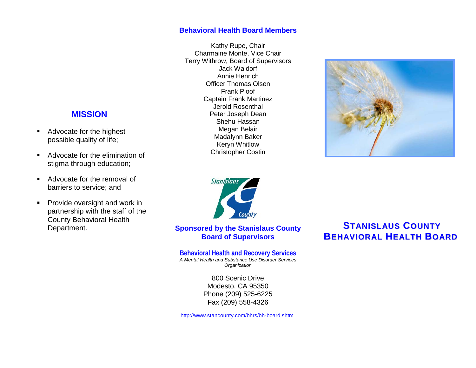## **Behavioral Health Board Members**

Kathy Rupe, Chair Charmaine Monte, Vice Chair Terry Withrow, Board of Supervisors Jack Waldorf Annie Henrich Officer Thomas Olsen Frank Ploof Captain Frank Martinez Jerold Rosenthal Peter Joseph Dean Shehu Hassan Megan Belair Madalynn Baker Keryn Whitlow Christopher Costin





**Sponsored by the Stanislaus County Board of Supervisors**

**Behavioral Health and Recovery Services** *A Mental Health and Substance Use Disorder Services Organization*

> 800 Scenic Drive Modesto, CA 95350 Phone (209) 525-6225 Fax (209) 558-4326

<http://www.stancounty.com/bhrs/bh-board.shtm>

# **STANISLAUS COUNTY BEHAVIORAL HEALTH BOARD**

## **MISSION**

- Advocate for the highest possible quality of life;
- Advocate for the elimination of stigma through education;
- Advocate for the removal of barriers to service; and
- **Provide oversight and work in** partnership with the staff of the County Behavioral Health Department.